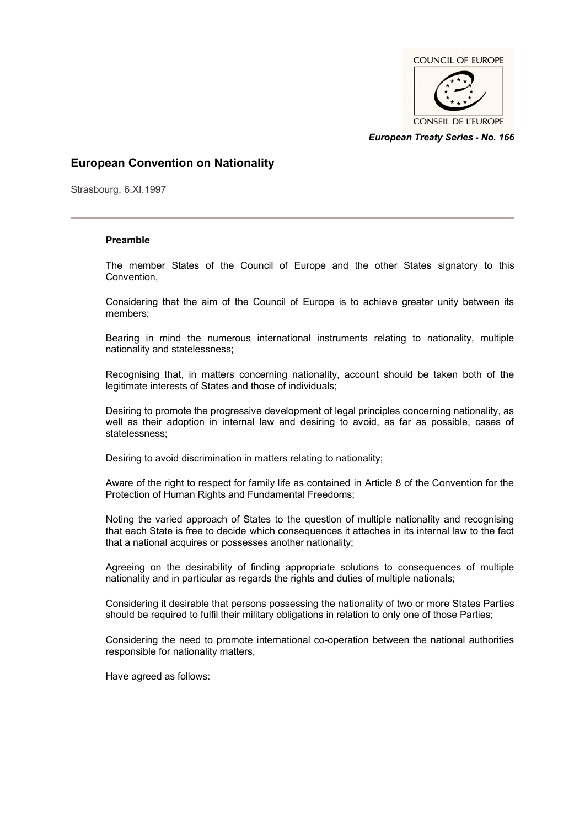

*European Treaty Series* **-** *No. 166*

# **European Convention on Nationality**

Strasbourg, 6.XI.1997

### **Preamble**

The member States of the Council of Europe and the other States signatory to this Convention,

Considering that the aim of the Council of Europe is to achieve greater unity between its members;

Bearing in mind the numerous international instruments relating to nationality, multiple nationality and statelessness;

Recognising that, in matters concerning nationality, account should be taken both of the legitimate interests of States and those of individuals;

Desiring to promote the progressive development of legal principles concerning nationality, as well as their adoption in internal law and desiring to avoid, as far as possible, cases of statelessness;

Desiring to avoid discrimination in matters relating to nationality;

Aware of the right to respect for family life as contained in Article 8 of the Convention for the Protection of Human Rights and Fundamental Freedoms;

Noting the varied approach of States to the question of multiple nationality and recognising that each State is free to decide which consequences it attaches in its internal law to the fact that a national acquires or possesses another nationality;

Agreeing on the desirability of finding appropriate solutions to consequences of multiple nationality and in particular as regards the rights and duties of multiple nationals;

Considering it desirable that persons possessing the nationality of two or more States Parties should be required to fulfil their military obligations in relation to only one of those Parties;

Considering the need to promote international co-operation between the national authorities responsible for nationality matters,

Have agreed as follows: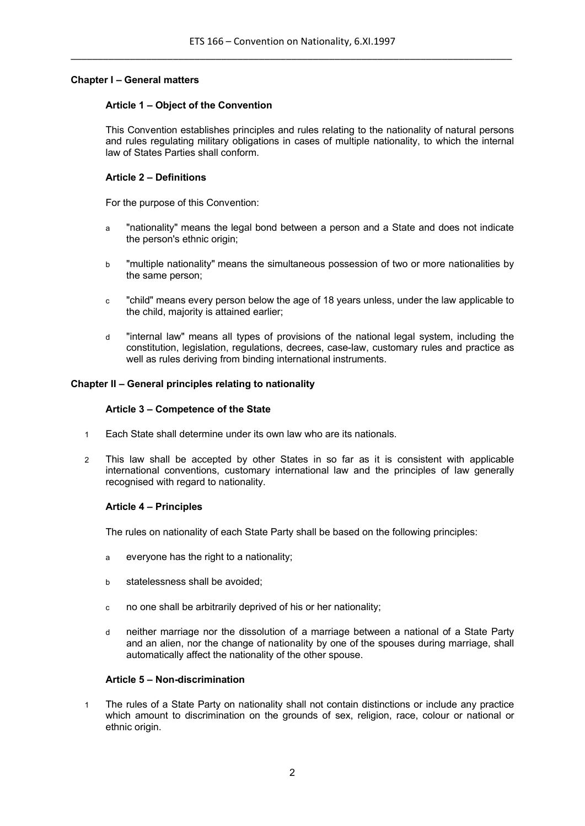## **Chapter I – General matters**

#### **Article 1 – Object of the Convention**

This Convention establishes principles and rules relating to the nationality of natural persons and rules regulating military obligations in cases of multiple nationality, to which the internal law of States Parties shall conform.

## **Article 2 – Definitions**

For the purpose of this Convention:

- a "nationality" means the legal bond between a person and a State and does not indicate the person's ethnic origin;
- b "multiple nationality" means the simultaneous possession of two or more nationalities by the same person;
- c "child" means every person below the age of 18 years unless, under the law applicable to the child, majority is attained earlier;
- d "internal law" means all types of provisions of the national legal system, including the constitution, legislation, regulations, decrees, case-law, customary rules and practice as well as rules deriving from binding international instruments.

### **Chapter II – General principles relating to nationality**

#### **Article 3 – Competence of the State**

- 1 Each State shall determine under its own law who are its nationals.
- 2 This law shall be accepted by other States in so far as it is consistent with applicable international conventions, customary international law and the principles of law generally recognised with regard to nationality.

#### **Article 4 – Principles**

The rules on nationality of each State Party shall be based on the following principles:

- a everyone has the right to a nationality;
- b statelessness shall be avoided;
- c no one shall be arbitrarily deprived of his or her nationality;
- d neither marriage nor the dissolution of a marriage between a national of a State Party and an alien, nor the change of nationality by one of the spouses during marriage, shall automatically affect the nationality of the other spouse.

#### **Article 5 – Non-discrimination**

1 The rules of a State Party on nationality shall not contain distinctions or include any practice which amount to discrimination on the grounds of sex, religion, race, colour or national or ethnic origin.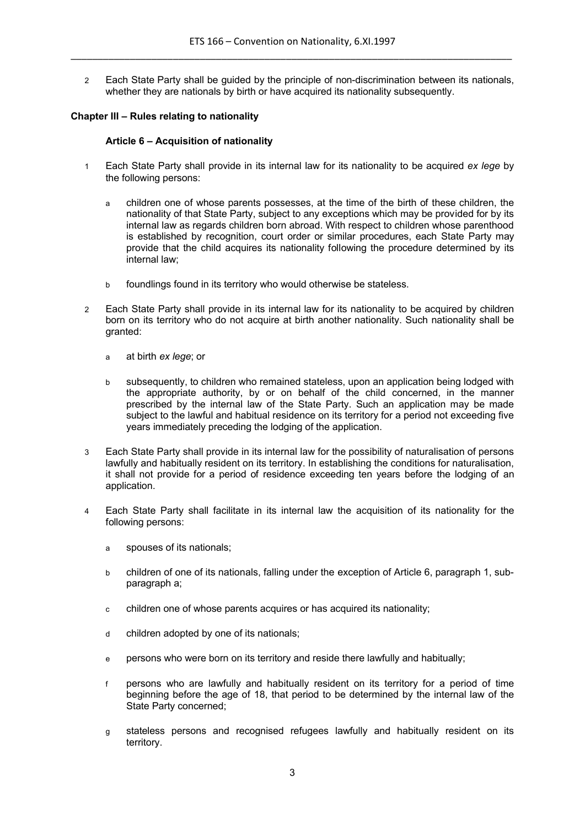2 Each State Party shall be guided by the principle of non-discrimination between its nationals, whether they are nationals by birth or have acquired its nationality subsequently.

## **Chapter III – Rules relating to nationality**

### **Article 6 – Acquisition of nationality**

- 1 Each State Party shall provide in its internal law for its nationality to be acquired *ex lege* by the following persons:
	- a children one of whose parents possesses, at the time of the birth of these children, the nationality of that State Party, subject to any exceptions which may be provided for by its internal law as regards children born abroad. With respect to children whose parenthood is established by recognition, court order or similar procedures, each State Party may provide that the child acquires its nationality following the procedure determined by its internal law;
	- b foundlings found in its territory who would otherwise be stateless.
- 2 Each State Party shall provide in its internal law for its nationality to be acquired by children born on its territory who do not acquire at birth another nationality. Such nationality shall be granted:
	- a at birth *ex lege*; or
	- b subsequently, to children who remained stateless, upon an application being lodged with the appropriate authority, by or on behalf of the child concerned, in the manner prescribed by the internal law of the State Party. Such an application may be made subject to the lawful and habitual residence on its territory for a period not exceeding five years immediately preceding the lodging of the application.
- 3 Each State Party shall provide in its internal law for the possibility of naturalisation of persons lawfully and habitually resident on its territory. In establishing the conditions for naturalisation, it shall not provide for a period of residence exceeding ten years before the lodging of an application.
- 4 Each State Party shall facilitate in its internal law the acquisition of its nationality for the following persons:
	- a spouses of its nationals;
	- b children of one of its nationals, falling under the exception of Article 6, paragraph 1, subparagraph a;
	- c children one of whose parents acquires or has acquired its nationality;
	- d children adopted by one of its nationals;
	- e persons who were born on its territory and reside there lawfully and habitually;
	- f persons who are lawfully and habitually resident on its territory for a period of time beginning before the age of 18, that period to be determined by the internal law of the State Party concerned;
	- g stateless persons and recognised refugees lawfully and habitually resident on its territory.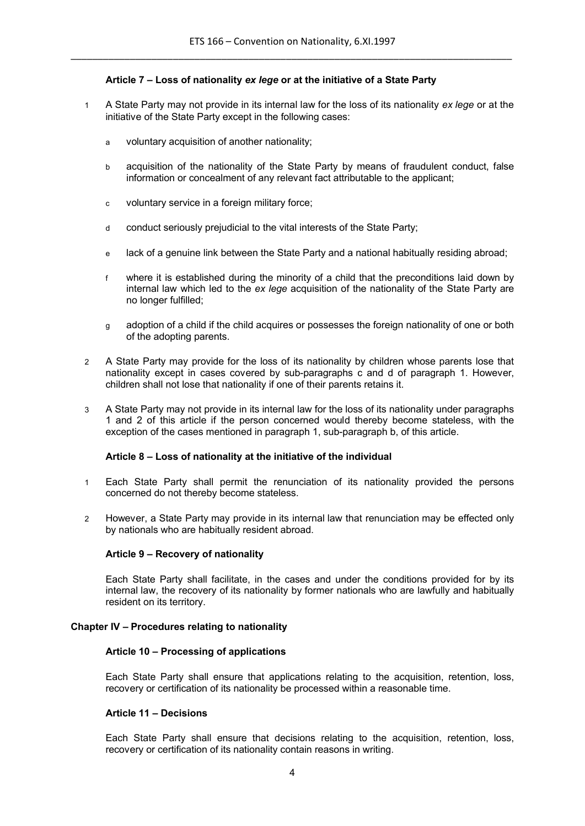### **Article 7 – Loss of nationality** *ex lege* **or at the initiative of a State Party**

- 1 A State Party may not provide in its internal law for the loss of its nationality *ex lege* or at the initiative of the State Party except in the following cases:
	- a voluntary acquisition of another nationality;
	- b acquisition of the nationality of the State Party by means of fraudulent conduct, false information or concealment of any relevant fact attributable to the applicant;
	- c voluntary service in a foreign military force;
	- d conduct seriously prejudicial to the vital interests of the State Party;
	- e lack of a genuine link between the State Party and a national habitually residing abroad;
	- f where it is established during the minority of a child that the preconditions laid down by internal law which led to the *ex lege* acquisition of the nationality of the State Party are no longer fulfilled;
	- g adoption of a child if the child acquires or possesses the foreign nationality of one or both of the adopting parents.
- 2 A State Party may provide for the loss of its nationality by children whose parents lose that nationality except in cases covered by sub-paragraphs c and d of paragraph 1. However, children shall not lose that nationality if one of their parents retains it.
- 3 A State Party may not provide in its internal law for the loss of its nationality under paragraphs 1 and 2 of this article if the person concerned would thereby become stateless, with the exception of the cases mentioned in paragraph 1, sub-paragraph b, of this article.

#### **Article 8 – Loss of nationality at the initiative of the individual**

- 1 Each State Party shall permit the renunciation of its nationality provided the persons concerned do not thereby become stateless.
- 2 However, a State Party may provide in its internal law that renunciation may be effected only by nationals who are habitually resident abroad.

#### **Article 9 – Recovery of nationality**

Each State Party shall facilitate, in the cases and under the conditions provided for by its internal law, the recovery of its nationality by former nationals who are lawfully and habitually resident on its territory.

#### **Chapter IV – Procedures relating to nationality**

#### **Article 10 – Processing of applications**

Each State Party shall ensure that applications relating to the acquisition, retention, loss, recovery or certification of its nationality be processed within a reasonable time.

## **Article 11 – Decisions**

Each State Party shall ensure that decisions relating to the acquisition, retention, loss, recovery or certification of its nationality contain reasons in writing.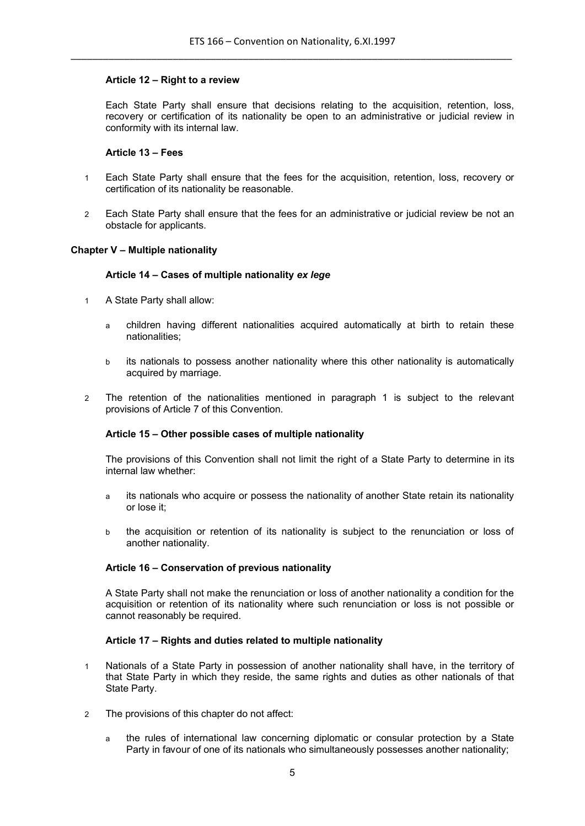## **Article 12 – Right to a review**

Each State Party shall ensure that decisions relating to the acquisition, retention, loss, recovery or certification of its nationality be open to an administrative or judicial review in conformity with its internal law.

### **Article 13 – Fees**

- 1 Each State Party shall ensure that the fees for the acquisition, retention, loss, recovery or certification of its nationality be reasonable.
- 2 Each State Party shall ensure that the fees for an administrative or judicial review be not an obstacle for applicants.

### **Chapter V – Multiple nationality**

### **Article 14 – Cases of multiple nationality** *ex lege*

- 1 A State Party shall allow:
	- a children having different nationalities acquired automatically at birth to retain these nationalities;
	- b its nationals to possess another nationality where this other nationality is automatically acquired by marriage.
- 2 The retention of the nationalities mentioned in paragraph 1 is subject to the relevant provisions of Article 7 of this Convention.

## **Article 15 – Other possible cases of multiple nationality**

The provisions of this Convention shall not limit the right of a State Party to determine in its internal law whether:

- a its nationals who acquire or possess the nationality of another State retain its nationality or lose it;
- b the acquisition or retention of its nationality is subject to the renunciation or loss of another nationality.

#### **Article 16 – Conservation of previous nationality**

A State Party shall not make the renunciation or loss of another nationality a condition for the acquisition or retention of its nationality where such renunciation or loss is not possible or cannot reasonably be required.

## **Article 17 – Rights and duties related to multiple nationality**

- 1 Nationals of a State Party in possession of another nationality shall have, in the territory of that State Party in which they reside, the same rights and duties as other nationals of that State Party.
- 2 The provisions of this chapter do not affect:
	- a the rules of international law concerning diplomatic or consular protection by a State Party in favour of one of its nationals who simultaneously possesses another nationality;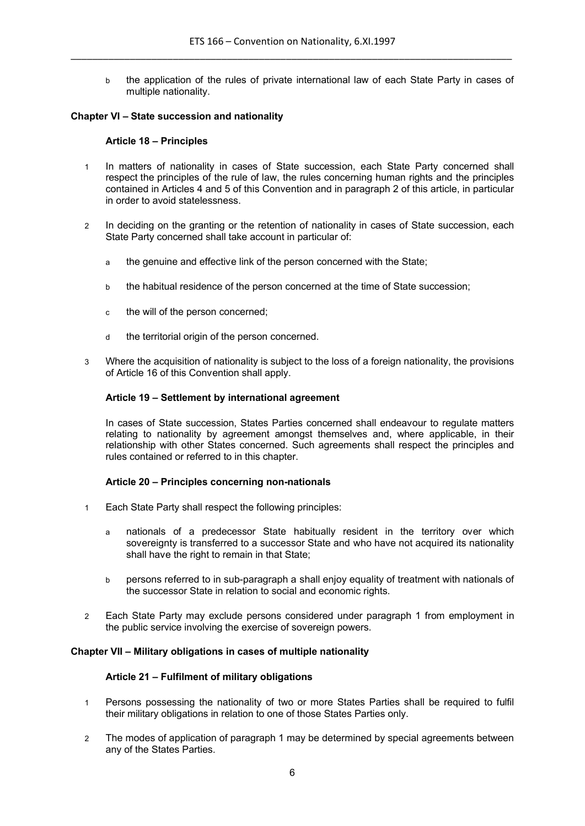b the application of the rules of private international law of each State Party in cases of multiple nationality.

### **Chapter VI – State succession and nationality**

#### **Article 18 – Principles**

- 1 In matters of nationality in cases of State succession, each State Party concerned shall respect the principles of the rule of law, the rules concerning human rights and the principles contained in Articles 4 and 5 of this Convention and in paragraph 2 of this article, in particular in order to avoid statelessness.
- 2 In deciding on the granting or the retention of nationality in cases of State succession, each State Party concerned shall take account in particular of:
	- a the genuine and effective link of the person concerned with the State;
	- b the habitual residence of the person concerned at the time of State succession;
	- c the will of the person concerned;
	- d the territorial origin of the person concerned.
- 3 Where the acquisition of nationality is subject to the loss of a foreign nationality, the provisions of Article 16 of this Convention shall apply.

#### **Article 19 – Settlement by international agreement**

In cases of State succession, States Parties concerned shall endeavour to regulate matters relating to nationality by agreement amongst themselves and, where applicable, in their relationship with other States concerned. Such agreements shall respect the principles and rules contained or referred to in this chapter.

#### **Article 20 – Principles concerning non-nationals**

- 1 Each State Party shall respect the following principles:
	- a nationals of a predecessor State habitually resident in the territory over which sovereignty is transferred to a successor State and who have not acquired its nationality shall have the right to remain in that State;
	- b persons referred to in sub-paragraph a shall enjoy equality of treatment with nationals of the successor State in relation to social and economic rights.
- 2 Each State Party may exclude persons considered under paragraph 1 from employment in the public service involving the exercise of sovereign powers.

#### **Chapter VII – Military obligations in cases of multiple nationality**

#### **Article 21 – Fulfilment of military obligations**

- 1 Persons possessing the nationality of two or more States Parties shall be required to fulfil their military obligations in relation to one of those States Parties only.
- 2 The modes of application of paragraph 1 may be determined by special agreements between any of the States Parties.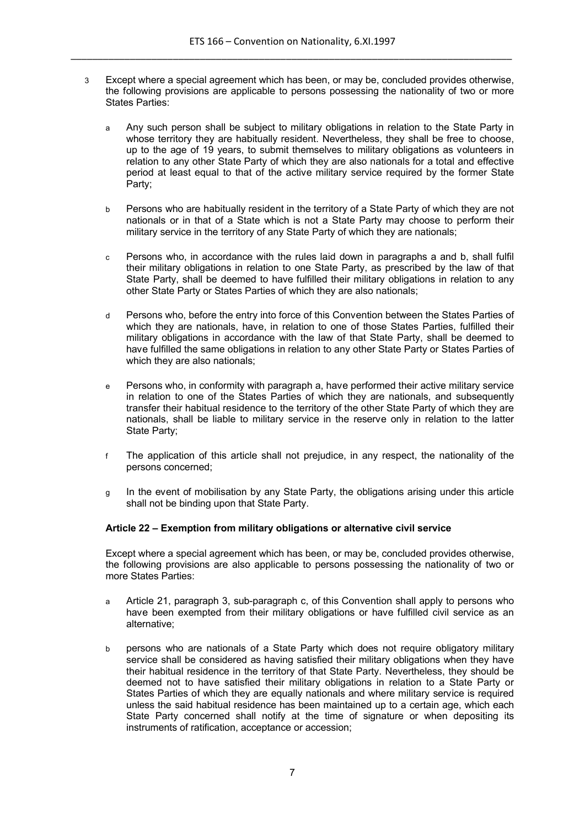- 3 Except where a special agreement which has been, or may be, concluded provides otherwise, the following provisions are applicable to persons possessing the nationality of two or more States Parties:
	- a Any such person shall be subject to military obligations in relation to the State Party in whose territory they are habitually resident. Nevertheless, they shall be free to choose, up to the age of 19 years, to submit themselves to military obligations as volunteers in relation to any other State Party of which they are also nationals for a total and effective period at least equal to that of the active military service required by the former State Party;
	- b Persons who are habitually resident in the territory of a State Party of which they are not nationals or in that of a State which is not a State Party may choose to perform their military service in the territory of any State Party of which they are nationals;
	- c Persons who, in accordance with the rules laid down in paragraphs a and b, shall fulfil their military obligations in relation to one State Party, as prescribed by the law of that State Party, shall be deemed to have fulfilled their military obligations in relation to any other State Party or States Parties of which they are also nationals;
	- d Persons who, before the entry into force of this Convention between the States Parties of which they are nationals, have, in relation to one of those States Parties, fulfilled their military obligations in accordance with the law of that State Party, shall be deemed to have fulfilled the same obligations in relation to any other State Party or States Parties of which they are also nationals:
	- e Persons who, in conformity with paragraph a, have performed their active military service in relation to one of the States Parties of which they are nationals, and subsequently transfer their habitual residence to the territory of the other State Party of which they are nationals, shall be liable to military service in the reserve only in relation to the latter State Party;
	- f The application of this article shall not prejudice, in any respect, the nationality of the persons concerned;
	- g In the event of mobilisation by any State Party, the obligations arising under this article shall not be binding upon that State Party.

## **Article 22 – Exemption from military obligations or alternative civil service**

Except where a special agreement which has been, or may be, concluded provides otherwise, the following provisions are also applicable to persons possessing the nationality of two or more States Parties:

- a Article 21, paragraph 3, sub-paragraph c, of this Convention shall apply to persons who have been exempted from their military obligations or have fulfilled civil service as an alternative;
- b persons who are nationals of a State Party which does not require obligatory military service shall be considered as having satisfied their military obligations when they have their habitual residence in the territory of that State Party. Nevertheless, they should be deemed not to have satisfied their military obligations in relation to a State Party or States Parties of which they are equally nationals and where military service is required unless the said habitual residence has been maintained up to a certain age, which each State Party concerned shall notify at the time of signature or when depositing its instruments of ratification, acceptance or accession;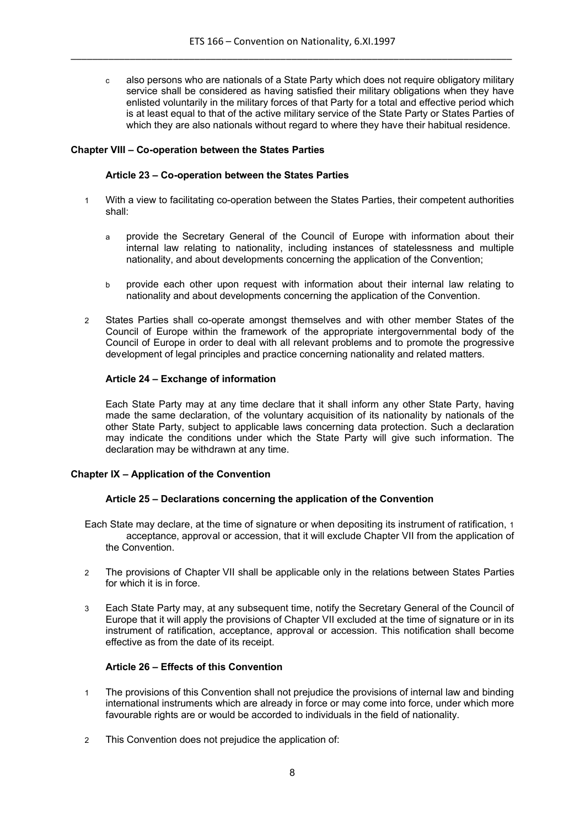c also persons who are nationals of a State Party which does not require obligatory military service shall be considered as having satisfied their military obligations when they have enlisted voluntarily in the military forces of that Party for a total and effective period which is at least equal to that of the active military service of the State Party or States Parties of which they are also nationals without regard to where they have their habitual residence.

## **Chapter VIII – Co-operation between the States Parties**

### **Article 23 – Co-operation between the States Parties**

- 1 With a view to facilitating co-operation between the States Parties, their competent authorities shall:
	- a provide the Secretary General of the Council of Europe with information about their internal law relating to nationality, including instances of statelessness and multiple nationality, and about developments concerning the application of the Convention;
	- b provide each other upon request with information about their internal law relating to nationality and about developments concerning the application of the Convention.
- 2 States Parties shall co-operate amongst themselves and with other member States of the Council of Europe within the framework of the appropriate intergovernmental body of the Council of Europe in order to deal with all relevant problems and to promote the progressive development of legal principles and practice concerning nationality and related matters.

### **Article 24 – Exchange of information**

Each State Party may at any time declare that it shall inform any other State Party, having made the same declaration, of the voluntary acquisition of its nationality by nationals of the other State Party, subject to applicable laws concerning data protection. Such a declaration may indicate the conditions under which the State Party will give such information. The declaration may be withdrawn at any time.

## **Chapter IX – Application of the Convention**

### **Article 25 – Declarations concerning the application of the Convention**

- Each State may declare, at the time of signature or when depositing its instrument of ratification, 1 acceptance, approval or accession, that it will exclude Chapter VII from the application of the Convention.
- 2 The provisions of Chapter VII shall be applicable only in the relations between States Parties for which it is in force.
- 3 Each State Party may, at any subsequent time, notify the Secretary General of the Council of Europe that it will apply the provisions of Chapter VII excluded at the time of signature or in its instrument of ratification, acceptance, approval or accession. This notification shall become effective as from the date of its receipt.

## **Article 26 – Effects of this Convention**

- 1 The provisions of this Convention shall not prejudice the provisions of internal law and binding international instruments which are already in force or may come into force, under which more favourable rights are or would be accorded to individuals in the field of nationality.
- 2 This Convention does not prejudice the application of: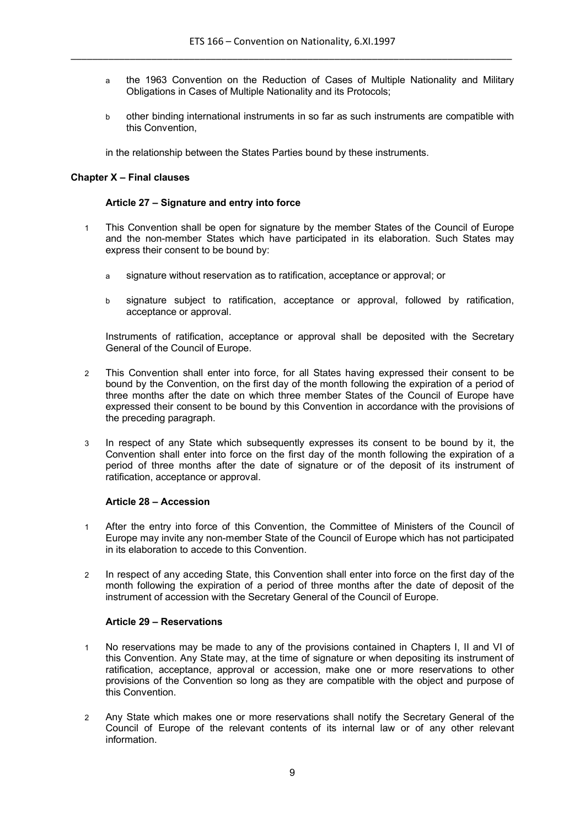- a the 1963 Convention on the Reduction of Cases of Multiple Nationality and Military Obligations in Cases of Multiple Nationality and its Protocols;
- b other binding international instruments in so far as such instruments are compatible with this Convention,

in the relationship between the States Parties bound by these instruments.

## **Chapter X – Final clauses**

### **Article 27 – Signature and entry into force**

- 1 This Convention shall be open for signature by the member States of the Council of Europe and the non-member States which have participated in its elaboration. Such States may express their consent to be bound by:
	- a signature without reservation as to ratification, acceptance or approval; or
	- b signature subject to ratification, acceptance or approval, followed by ratification, acceptance or approval.

Instruments of ratification, acceptance or approval shall be deposited with the Secretary General of the Council of Europe.

- 2 This Convention shall enter into force, for all States having expressed their consent to be bound by the Convention, on the first day of the month following the expiration of a period of three months after the date on which three member States of the Council of Europe have expressed their consent to be bound by this Convention in accordance with the provisions of the preceding paragraph.
- 3 In respect of any State which subsequently expresses its consent to be bound by it, the Convention shall enter into force on the first day of the month following the expiration of a period of three months after the date of signature or of the deposit of its instrument of ratification, acceptance or approval.

## **Article 28 – Accession**

- 1 After the entry into force of this Convention, the Committee of Ministers of the Council of Europe may invite any non-member State of the Council of Europe which has not participated in its elaboration to accede to this Convention.
- 2 In respect of any acceding State, this Convention shall enter into force on the first day of the month following the expiration of a period of three months after the date of deposit of the instrument of accession with the Secretary General of the Council of Europe.

#### **Article 29 – Reservations**

- 1 No reservations may be made to any of the provisions contained in Chapters I, II and VI of this Convention. Any State may, at the time of signature or when depositing its instrument of ratification, acceptance, approval or accession, make one or more reservations to other provisions of the Convention so long as they are compatible with the object and purpose of this Convention.
- 2 Any State which makes one or more reservations shall notify the Secretary General of the Council of Europe of the relevant contents of its internal law or of any other relevant information.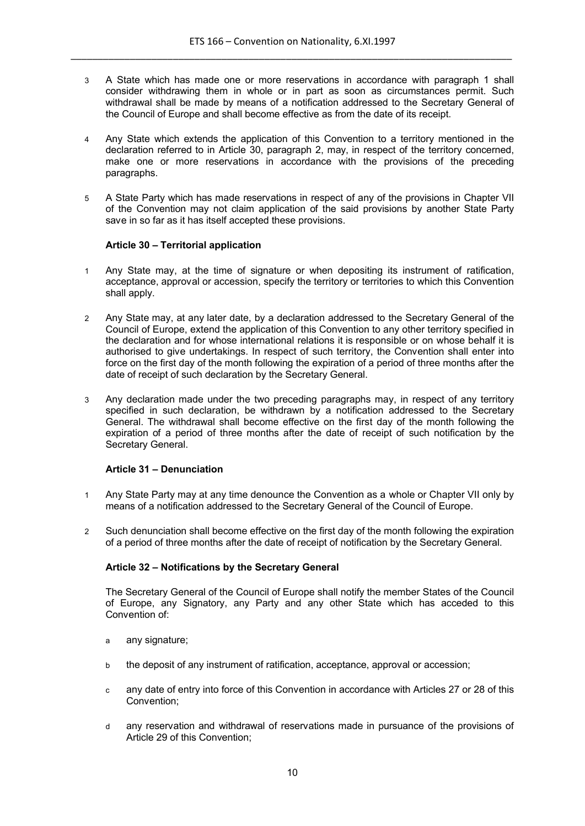- 3 A State which has made one or more reservations in accordance with paragraph 1 shall consider withdrawing them in whole or in part as soon as circumstances permit. Such withdrawal shall be made by means of a notification addressed to the Secretary General of the Council of Europe and shall become effective as from the date of its receipt.
- 4 Any State which extends the application of this Convention to a territory mentioned in the declaration referred to in Article 30, paragraph 2, may, in respect of the territory concerned, make one or more reservations in accordance with the provisions of the preceding paragraphs.
- 5 A State Party which has made reservations in respect of any of the provisions in Chapter VII of the Convention may not claim application of the said provisions by another State Party save in so far as it has itself accepted these provisions.

## **Article 30 – Territorial application**

- 1 Any State may, at the time of signature or when depositing its instrument of ratification, acceptance, approval or accession, specify the territory or territories to which this Convention shall apply.
- 2 Any State may, at any later date, by a declaration addressed to the Secretary General of the Council of Europe, extend the application of this Convention to any other territory specified in the declaration and for whose international relations it is responsible or on whose behalf it is authorised to give undertakings. In respect of such territory, the Convention shall enter into force on the first day of the month following the expiration of a period of three months after the date of receipt of such declaration by the Secretary General.
- 3 Any declaration made under the two preceding paragraphs may, in respect of any territory specified in such declaration, be withdrawn by a notification addressed to the Secretary General. The withdrawal shall become effective on the first day of the month following the expiration of a period of three months after the date of receipt of such notification by the Secretary General.

## **Article 31 – Denunciation**

- 1 Any State Party may at any time denounce the Convention as a whole or Chapter VII only by means of a notification addressed to the Secretary General of the Council of Europe.
- 2 Such denunciation shall become effective on the first day of the month following the expiration of a period of three months after the date of receipt of notification by the Secretary General.

## **Article 32 – Notifications by the Secretary General**

The Secretary General of the Council of Europe shall notify the member States of the Council of Europe, any Signatory, any Party and any other State which has acceded to this Convention of:

- a any signature;
- b the deposit of any instrument of ratification, acceptance, approval or accession;
- c any date of entry into force of this Convention in accordance with Articles 27 or 28 of this Convention;
- d any reservation and withdrawal of reservations made in pursuance of the provisions of Article 29 of this Convention;